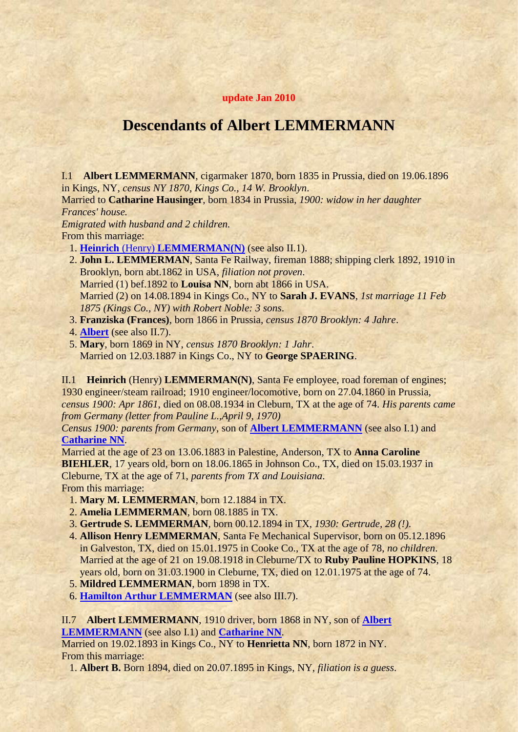## **update Jan 2010**

## **Descendants of Albert LEMMERMANN**

<span id="page-0-2"></span>I.1 **Albert LEMMERMANN**, cigarmaker 1870, born 1835 in Prussia, died on 19.06.1896 in Kings, NY, *census NY 1870, Kings Co., 14 W. Brooklyn*.

<span id="page-0-3"></span>Married to **Catharine Hausinger**, born 1834 in Prussia, *1900: widow in her daughter Frances' house.*

*Emigrated with husband and 2 children.* From this marriage:

- 1. **Heinrich** (Henry) **[LEMMERMAN\(N\)](#page-0-0)** (see also II.1).
- 2. **John L. LEMMERMAN**, Santa Fe Railway, fireman 1888; shipping clerk 1892, 1910 in Brooklyn, born abt.1862 in USA, *filiation not proven*. Married (1) bef.1892 to **Louisa NN**, born abt 1866 in USA. Married (2) on 14.08.1894 in Kings Co., NY to **Sarah J. EVANS**, *1st marriage 11 Feb 1875 (Kings Co., NY) with Robert Noble: 3 sons*.
- 3. **Franziska (Frances)**, born 1866 in Prussia, *census 1870 Brooklyn: 4 Jahre*.
- 4. **[Albert](#page-0-1)** (see also II.7).
- 5. **Mary**, born 1869 in NY, *census 1870 Brooklyn: 1 Jahr*. Married on 12.03.1887 in Kings Co., NY to **George SPAERING**.

<span id="page-0-0"></span>II.1 **Heinrich** (Henry) **LEMMERMAN(N)**, Santa Fe employee, road foreman of engines; 1930 engineer/steam railroad; 1910 engineer/locomotive, born on 27.04.1860 in Prussia, *census 1900: Apr 1861*, died on 08.08.1934 in Cleburn, TX at the age of 74. *His parents came from Germany (letter from Pauline L.,April 9, 1970)*

*Census 1900: parents from Germany*, son of **[Albert LEMMERMANN](#page-0-2)** (see also I.1) and **[Catharine NN](#page-0-3)**.

Married at the age of 23 on 13.06.1883 in Palestine, Anderson, TX to **Anna Caroline BIEHLER**, 17 years old, born on 18.06.1865 in Johnson Co., TX, died on 15.03.1937 in Cleburne, TX at the age of 71, *parents from TX and Louisiana*. From this marriage:

- <span id="page-0-4"></span>1. **Mary M. LEMMERMAN**, born 12.1884 in TX.
- 2. **Amelia LEMMERMAN**, born 08.1885 in TX.
- 3. **Gertrude S. LEMMERMAN**, born 00.12.1894 in TX, *1930: Gertrude, 28 (!)*.
- 4. **Allison Henry LEMMERMAN**, Santa Fe Mechanical Supervisor, born on 05.12.1896 in Galveston, TX, died on 15.01.1975 in Cooke Co., TX at the age of 78, *no children*. Married at the age of 21 on 19.08.1918 in Cleburne/TX to **Ruby Pauline HOPKINS**, 18 years old, born on 31.03.1900 in Cleburne, TX, died on 12.01.1975 at the age of 74.
- 5. **Mildred LEMMERMAN**, born 1898 in TX.
- 6. **[Hamilton Arthur LEMMERMAN](#page-1-0)** (see also III.7).

<span id="page-0-1"></span>II.7 **Albert LEMMERMANN**, 1910 driver, born 1868 in NY, son of **[Albert](#page-0-2)  [LEMMERMANN](#page-0-2)** (see also I.1) and **[Catharine NN](#page-0-3)**.

Married on 19.02.1893 in Kings Co., NY to **Henrietta NN**, born 1872 in NY. From this marriage:

1. **Albert B.** Born 1894, died on 20.07.1895 in Kings, NY, *filiation is a guess*.